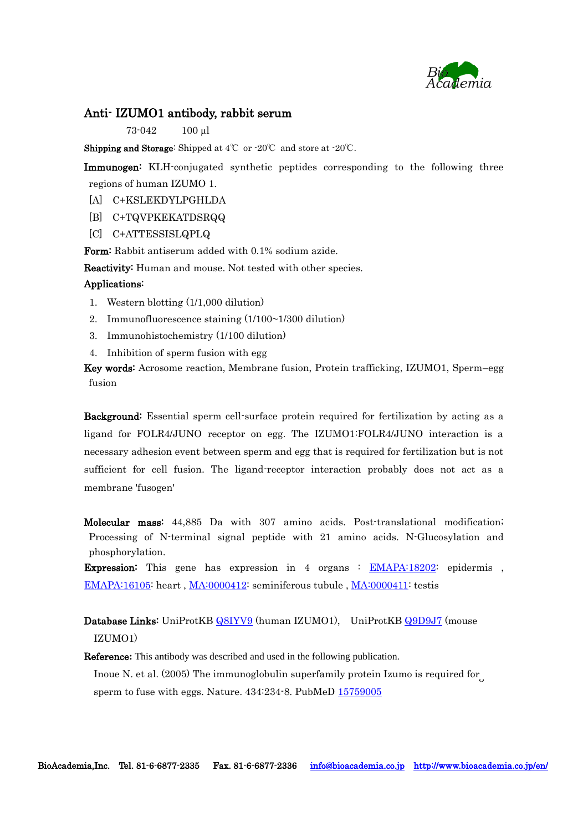

#### Anti- IZUMO1 antibody, rabbit serum

73-042 100 µl

Shipping and Storage: Shipped at 4℃ or -20℃ and store at -20℃.

Immunogen: KLH-conjugated synthetic peptides corresponding to the following three regions of human IZUMO 1.

- [A] C+KSLEKDYLPGHLDA
- [B] C+TQVPKEKATDSRQQ
- [C] C+ATTESSISLQPLQ

Form: Rabbit antiserum added with 0.1% sodium azide.

Reactivity: Human and mouse. Not tested with other species.

#### Applications:

- 1. Western blotting (1/1,000 dilution)
- 2. Immunofluorescence staining (1/100~1/300 dilution)
- 3. Immunohistochemistry (1/100 dilution)
- 4. Inhibition of sperm fusion with egg

Key words: Acrosome reaction, Membrane fusion, Protein trafficking, IZUMO1, Sperm–egg fusion

Background: Essential sperm cell-surface protein required for fertilization by acting as a ligand for FOLR4/JUNO receptor on egg. The IZUMO1:FOLR4/JUNO interaction is a necessary adhesion event between sperm and egg that is required for fertilization but is not sufficient for cell fusion. The ligand-receptor interaction probably does not act as a membrane 'fusogen'

Molecular mass: 44,885 Da with 307 amino acids. Post-translational modification; Processing of N-terminal signal peptide with 21 amino acids. N-Glucosylation and phosphorylation.

**Expression:** This gene has expression in 4 organs : **[EMAPA:18202:](http://bgee.unil.ch/bgee/bgee?page=anatomy&action=organ_details&organ_id=EMAPA%3A18202)** epidermis, [EMAPA:16105:](http://bgee.unil.ch/bgee/bgee?page=anatomy&action=organ_details&organ_id=EMAPA%3A16105&organ_children=on) heart, [MA:0000412:](http://bgee.unil.ch/bgee/bgee?page=anatomy&action=organ_details&organ_id=MA%3A0000412&organ_children=on) seminiferous tubule, [MA:0000411:](http://bgee.unil.ch/bgee/bgee?page=anatomy&action=organ_details&organ_id=MA%3A0000411&organ_children=on) testis

Database Links: UniProtKB [Q8IYV9](http://www.uniprot.org/uniprot/Q8IYV9) (human IZUMO1), UniProtKB [Q9D9J7](http://www.uniprot.org/uniprot/Q9D9J7) (mouse IZUMO1)

Reference**:** This antibody was described and used in the following publication. Inoue N. et al. (2005) [The immunoglobulin superfamily protein Izumo is required for](http://www.ncbi.nlm.nih.gov/pubmed/15759005)  $\,$ sperm [to fuse with eggs.](http://www.ncbi.nlm.nih.gov/pubmed/15759005) Nature. 434:234-8. PubMeD [15759005](http://www.ncbi.nlm.nih.gov/pubmed/15759005)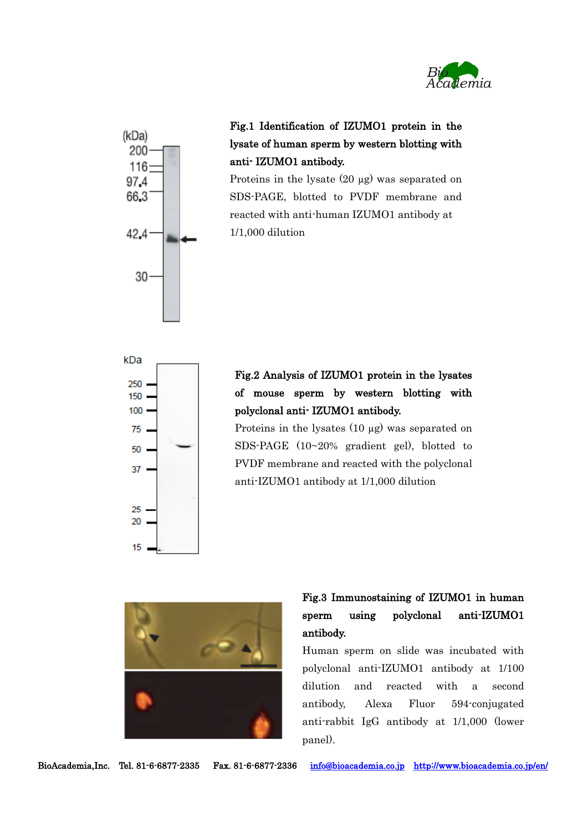



## Fig.1 Identification of IZUMO1 protein in the lysate of human sperm by western blotting with anti- IZUMO1 antibody.

Proteins in the lysate (20 µg) was separated on SDS-PAGE, blotted to PVDF membrane and reacted with anti-human IZUMO1 antibody at 1/1,000 dilution



## Fig.2 Analysis of IZUMO1 protein in the lysates of mouse sperm by western blotting with polyclonal anti- IZUMO1 antibody.

Proteins in the lysates (10 µg) was separated on SDS-PAGE (10~20% gradient gel), blotted to PVDF membrane and reacted with the polyclonal anti-IZUMO1 antibody at 1/1,000 dilution



# Fig.3 Immunostaining of IZUMO1 in human sperm using polyclonal anti-IZUMO1 antibody.

Human sperm on slide was incubated with polyclonal anti-IZUMO1 antibody at 1/100 dilution and reacted with a second antibody, Alexa Fluor 594-conjugated anti-rabbit IgG antibody at 1/1,000 (lower panel).